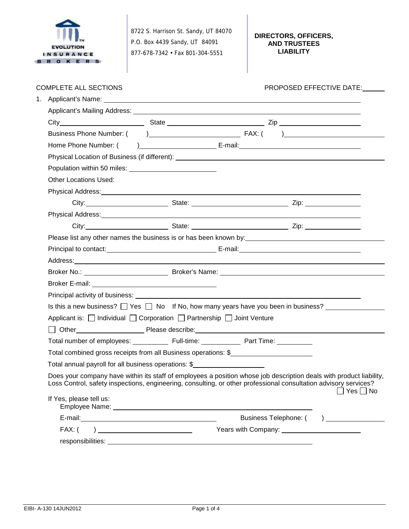

8722 S. Harrison St. Sandy, UT 84070 P.O. Box 4439 Sandy, UT 84091 877-678-7342 • Fax 801-304-5551

**DIRECTORS, OFFICERS, AND TRUSTEES LIABILITY**

| <b>COMPLETE ALL SECTIONS</b> |                                                                                            | PROPOSED EFFECTIVE DATE:                                                                                                                                                                                                                                 |
|------------------------------|--------------------------------------------------------------------------------------------|----------------------------------------------------------------------------------------------------------------------------------------------------------------------------------------------------------------------------------------------------------|
|                              |                                                                                            |                                                                                                                                                                                                                                                          |
|                              |                                                                                            |                                                                                                                                                                                                                                                          |
|                              |                                                                                            |                                                                                                                                                                                                                                                          |
|                              |                                                                                            |                                                                                                                                                                                                                                                          |
|                              |                                                                                            |                                                                                                                                                                                                                                                          |
|                              |                                                                                            |                                                                                                                                                                                                                                                          |
| <b>Other Locations Used:</b> |                                                                                            |                                                                                                                                                                                                                                                          |
|                              |                                                                                            | Physical Address: Note of the Contract of the Contract of the Contract of the Contract of the Contract of the Contract of the Contract of the Contract of the Contract of the Contract of the Contract of the Contract of the                            |
|                              |                                                                                            |                                                                                                                                                                                                                                                          |
|                              |                                                                                            |                                                                                                                                                                                                                                                          |
|                              |                                                                                            | City: City: 2012 City: 2014 City: 2014 City: 2014 City: 2014 City: 2014 City: 2014 City: 2014 City: 2014 City:                                                                                                                                           |
|                              |                                                                                            |                                                                                                                                                                                                                                                          |
|                              |                                                                                            | Principal to contact: <u>contact:</u> entertainment contact: E-mail: E-mail: entertainment contact: entertainment conta                                                                                                                                  |
|                              |                                                                                            |                                                                                                                                                                                                                                                          |
|                              |                                                                                            |                                                                                                                                                                                                                                                          |
|                              |                                                                                            |                                                                                                                                                                                                                                                          |
|                              |                                                                                            | Principal activity of business: <u>example and the contract of the contract of the contract of the contract of the contract of the contract of the contract of the contract of the contract of the contract of the contract of t</u>                     |
|                              |                                                                                            | Is this a new business? $\Box$ Yes $\Box$ No If No, how many years have you been in business?                                                                                                                                                            |
|                              | Applicant is: $\Box$ Individual $\Box$ Corporation $\Box$ Partnership $\Box$ Joint Venture |                                                                                                                                                                                                                                                          |
|                              |                                                                                            |                                                                                                                                                                                                                                                          |
|                              |                                                                                            |                                                                                                                                                                                                                                                          |
|                              |                                                                                            | Total combined gross receipts from all Business operations: \$                                                                                                                                                                                           |
|                              | Total annual payroll for all business operations: \$                                       |                                                                                                                                                                                                                                                          |
|                              |                                                                                            | Does your company have within its staff of employees a position whose job description deals with product liability,<br>Loss Control, safety inspections, engineering, consulting, or other professional consultation advisory services?<br>$Yes \Box No$ |
| If Yes, please tell us:      |                                                                                            |                                                                                                                                                                                                                                                          |
|                              |                                                                                            | Business Telephone: () __________                                                                                                                                                                                                                        |
|                              | $FAX: ( ) \ \ \underbrace{\qquad \qquad }$                                                 | Years with Company: Vears with Company:                                                                                                                                                                                                                  |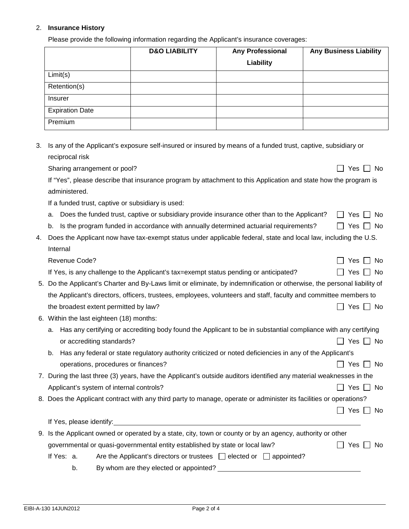## 2. **Insurance History**

Please provide the following information regarding the Applicant's insurance coverages:

|                        | <b>D&amp;O LIABILITY</b> | <b>Any Professional</b> | <b>Any Business Liability</b> |
|------------------------|--------------------------|-------------------------|-------------------------------|
|                        |                          | Liability               |                               |
| Limit(s)               |                          |                         |                               |
| Retention(s)           |                          |                         |                               |
| Insurer                |                          |                         |                               |
| <b>Expiration Date</b> |                          |                         |                               |
| Premium                |                          |                         |                               |

3. Is any of the Applicant's exposure self-insured or insured by means of a funded trust, captive, subsidiary or reciprocal risk

Sharing arrangement or pool? The state of the state of the state of the state of the state of the state of the state of the state of the state of the state of the state of the state of the state of the state of the state o

If "Yes", please describe that insurance program by attachment to this Application and state how the program is administered.

If a funded trust, captive or subsidiary is used:

- a. Does the funded trust, captive or subsidiary provide insurance other than to the Applicant?  $\Box$  Yes  $\Box$  No
- b. Is the program funded in accordance with annually determined actuarial requirements?  $\Box$  Yes  $\Box$  No
- 4. Does the Applicant now have tax-exempt status under applicable federal, state and local law, including the U.S. Internal

| Revenue Code?                                                                         | $\Box$ Yes $\Box$ No |
|---------------------------------------------------------------------------------------|----------------------|
| If Yes, is any challenge to the Applicant's tax=exempt status pending or anticipated? | $\Box$ Yes $\Box$ No |

- 5. Do the Applicant's Charter and By-Laws limit or eliminate, by indemnification or otherwise, the personal liability of the Applicant's directors, officers, trustees, employees, volunteers and staff, faculty and committee members to the broadest extent permitted by law?  $\Box$  Yes  $\Box$  No
- 6. Within the last eighteen (18) months:
	- a. Has any certifying or accrediting body found the Applicant to be in substantial compliance with any certifying or accrediting standards? 
	<br>
	Only 1998  $\Box$  Yes  $\Box$  No
	- b. Has any federal or state regulatory authority criticized or noted deficiencies in any of the Applicant's operations, procedures or finances?  $\Box$  Yes  $\Box$  No
- 7. During the last three (3) years, have the Applicant's outside auditors identified any material weaknesses in the Applicant's system of internal controls?  $\Box$  Yes  $\Box$  No
- 8. Does the Applicant contract with any third party to manage, operate or administer its facilities or operations?

|                                                                                                            |                                                                               |  | Yes I I No |
|------------------------------------------------------------------------------------------------------------|-------------------------------------------------------------------------------|--|------------|
| If Yes, please identify:                                                                                   |                                                                               |  |            |
| 9. Is the Applicant owned or operated by a state, city, town or county or by an agency, authority or other |                                                                               |  |            |
| governmental or quasi-governmental entity established by state or local law?<br>Yes I I No                 |                                                                               |  |            |
| If Yes: a.                                                                                                 | Are the Applicant's directors or trustees $\Box$ elected or $\Box$ appointed? |  |            |

b. By whom are they elected or appointed?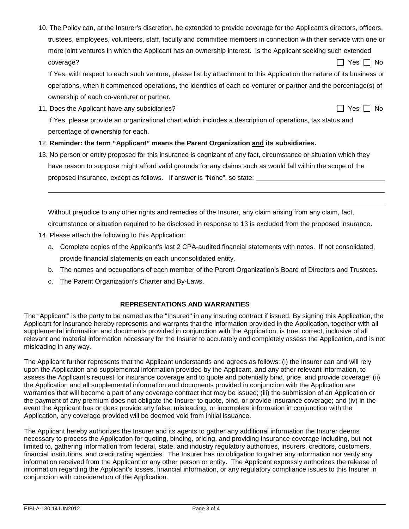10. The Policy can, at the Insurer's discretion, be extended to provide coverage for the Applicant's directors, officers, trustees, employees, volunteers, staff, faculty and committee members in connection with their service with one or more joint ventures in which the Applicant has an ownership interest. Is the Applicant seeking such extended  $\Box$  Yes  $\Box$  No

If Yes, with respect to each such venture, please list by attachment to this Application the nature of its business or operations, when it commenced operations, the identities of each co-venturer or partner and the percentage(s) of ownership of each co-venturer or partner.

11. Does the Applicant have any subsidiaries?  $\Box$  Yes  $\Box$  Yes  $\Box$  No

If Yes, please provide an organizational chart which includes a description of operations, tax status and percentage of ownership for each.

## 12. **Reminder: the term "Applicant" means the Parent Organization and its subsidiaries.**

13. No person or entity proposed for this insurance is cognizant of any fact, circumstance or situation which they have reason to suppose might afford valid grounds for any claims such as would fall within the scope of the proposed insurance, except as follows. If answer is "None", so state:

Without prejudice to any other rights and remedies of the Insurer, any claim arising from any claim, fact,

circumstance or situation required to be disclosed in response to 13 is excluded from the proposed insurance.

14. Please attach the following to this Application:

 

- a. Complete copies of the Applicant's last 2 CPA-audited financial statements with notes. If not consolidated, provide financial statements on each unconsolidated entity.
- b. The names and occupations of each member of the Parent Organization's Board of Directors and Trustees.
- c. The Parent Organization's Charter and By-Laws.

## **REPRESENTATIONS AND WARRANTIES**

The "Applicant" is the party to be named as the "Insured" in any insuring contract if issued. By signing this Application, the Applicant for insurance hereby represents and warrants that the information provided in the Application, together with all supplemental information and documents provided in conjunction with the Application, is true, correct, inclusive of all relevant and material information necessary for the Insurer to accurately and completely assess the Application, and is not misleading in any way.

The Applicant further represents that the Applicant understands and agrees as follows: (i) the Insurer can and will rely upon the Application and supplemental information provided by the Applicant, and any other relevant information, to assess the Applicant's request for insurance coverage and to quote and potentially bind, price, and provide coverage; (ii) the Application and all supplemental information and documents provided in conjunction with the Application are warranties that will become a part of any coverage contract that may be issued; (iii) the submission of an Application or the payment of any premium does not obligate the Insurer to quote, bind, or provide insurance coverage; and (iv) in the event the Applicant has or does provide any false, misleading, or incomplete information in conjunction with the Application, any coverage provided will be deemed void from initial issuance.

The Applicant hereby authorizes the Insurer and its agents to gather any additional information the Insurer deems necessary to process the Application for quoting, binding, pricing, and providing insurance coverage including, but not limited to, gathering information from federal, state, and industry regulatory authorities, insurers, creditors, customers, financial institutions, and credit rating agencies. The Insurer has no obligation to gather any information nor verify any information received from the Applicant or any other person or entity. The Applicant expressly authorizes the release of information regarding the Applicant's losses, financial information, or any regulatory compliance issues to this Insurer in conjunction with consideration of the Application.